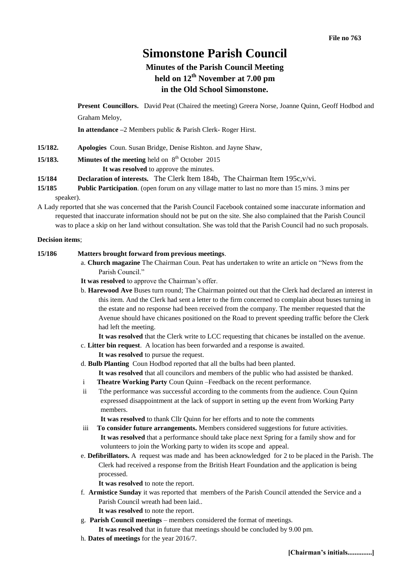# **Simonstone Parish Council**

## **Minutes of the Parish Council Meeting held on 12th November at 7.00 pm in the Old School Simonstone.**

**Present Councillors.** David Peat (Chaired the meeting) Greera Norse, Joanne Quinn, Geoff Hodbod and Graham Meloy,

**In attendance –**2 Members public & Parish Clerk- Roger Hirst.

**15/182. Apologies** Coun. Susan Bridge, Denise Rishton. and Jayne Shaw,

**15/183. Minutes of the meeting** held on  $8<sup>th</sup>$  October 2015

**It was resolved** to approve the minutes.

- **15/184 Declaration of interests.** The Clerk Item 184b, The Chairman Item 195c,v/vi.
- **15/185 Public Participation**. (open forum on any village matter to last no more than 15 mins. 3 mins per speaker).
- A Lady reported that she was concerned that the Parish Council Facebook contained some inaccurate information and requested that inaccurate information should not be put on the site. She also complained that the Parish Council was to place a skip on her land without consultation. She was told that the Parish Council had no such proposals.

## **Decision items**;

## **15/186 Matters brought forward from previous meetings**.

- a. **Church magazine** The Chairman Coun. Peat has undertaken to write an article on "News from the Parish Council."
- **It was resolved** to approve the Chairman's offer.
- b. **Harewood Ave** Buses turn round; The Chairman pointed out that the Clerk had declared an interest in this item. And the Clerk had sent a letter to the firm concerned to complain about buses turning in the estate and no response had been received from the company. The member requested that the Avenue should have chicanes positioned on the Road to prevent speeding traffic before the Clerk had left the meeting.

**It was resolved** that the Clerk write to LCC requesting that chicanes be installed on the avenue.

- c. **Litter bin request**. A location has been forwarded and a response is awaited.
	- **It was resolved** to pursue the request.
- d. **Bulb Planting** Coun Hodbod reported that all the bulbs had been planted.
	- **It was resolved** that all councilors and members of the public who had assisted be thanked.
- i **Theatre Working Party** Coun Quinn –Feedback on the recent performance.
- ii Tthe performance was successful according to the comments from the audience. Coun Quinn expressed disappointment at the lack of support in setting up the event from Working Party members.

**It was resolved** to thank Cllr Quinn for her efforts and to note the comments

- iii **To consider future arrangements.** Members considered suggestions for future activities. **It was resolved** that a performance should take place next Spring for a family show and for volunteers to join the Working party to widen its scope and appeal.
- e. **Defibrillators.** A request was made and has been acknowledged for 2 to be placed in the Parish. The Clerk had received a response from the British Heart Foundation and the application is being processed.

**It was resolved** to note the report.

f. **Armistice Sunday** it was reported that members of the Parish Council attended the Service and a Parish Council wreath had been laid..

**It was resolved** to note the report.

g. **Parish Council meetings** – members considered the format of meetings.

**It was resolved** that in future that meetings should be concluded by 9.00 pm.

h. **Dates of meetings** for the year 2016/7.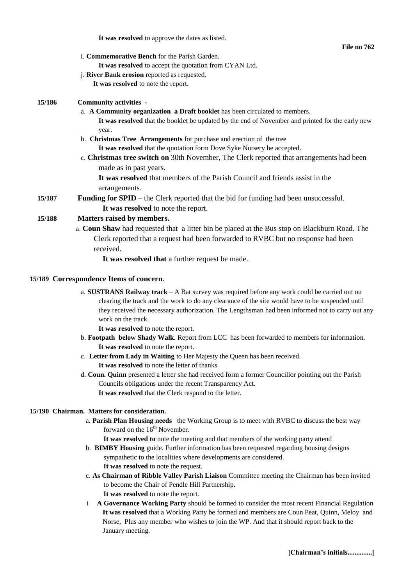**It was resolved** to approve the dates as listed.

**File no 762**

- i. **Commemorative Bench** for the Parish Garden.
	- **It was resolved** to accept the quotation from CYAN Ltd.
- j. **River Bank erosion** reported as requested.

 **It was resolved** to note the report.

## **15/186 Community activities -**

a. **A Community organization a Draft booklet** has been circulated to members.

**It was resolved** that the booklet be updated by the end of November and printed for the early new year.

- b. **Christmas Tree Arrangements** for purchase and erection of the tree **It was resolved** that the quotation form Dove Syke Nursery be accepted.
- c. **Christmas tree switch on** 30th November, The Clerk reported that arrangements had been made as in past years.

**It was resolved** that members of the Parish Council and friends assist in the arrangements.

**15/187 Funding for SPID** – the Clerk reported that the bid for funding had been unsuccessful.  **It was resolved** to note the report.

## **15/188 Matters raised by members.**

a. **Coun Shaw** had requested that a litter bin be placed at the Bus stop on Blackburn Road. The Clerk reported that a request had been forwarded to RVBC but no response had been received.

**It was resolved that** a further request be made.

## **15/189 Correspondence Items of concern**.

a. **SUSTRANS Railway track** – A Bat survey was required before any work could be carried out on clearing the track and the work to do any clearance of the site would have to be suspended until they received the necessary authorization. The Lengthsman had been informed not to carry out any work on the track.

**It was resolved** to note the report.

- b. **Footpath below Shady Walk**. Report from LCC has been forwarded to members for information. **It was resolved** to note the report.
- c. **Letter from Lady in Waiting** to Her Majesty the Queen has been received.

**It was resolved** to note the letter of thanks

d. **Coun. Quinn** presented a letter she had received form a former Councillor pointing out the Parish Councils obligations under the recent Transparency Act. **It was resolved** that the Clerk respond to the letter.

## **15/190 Chairman. Matters for consideration.**

a. **Parish Plan Housing needs** the Working Group is to meet with RVBC to discuss the best way forward on the  $16<sup>th</sup>$  November.

**It was resolved to** note the meeting and that members of the working party attend

- b. **BIMBY Housing** guide. Further information has been requested regarding housing designs sympathetic to the localities where developments are considered. **It was resolved** to note the request.
- c. **As Chairman of Ribble Valley Parish Liaison** Committee meeting the Chairman has been invited to become the Chair of Pendle Hill Partnership. **It was resolved** to note the report.
- i **A Governance Working Party** should be formed to consider the most recent Financial Regulation **It was resolved** that a Working Party be formed and members are Coun Peat, Quinn, Meloy and Norse, Plus any member who wishes to join the WP. And that it should report back to the January meeting.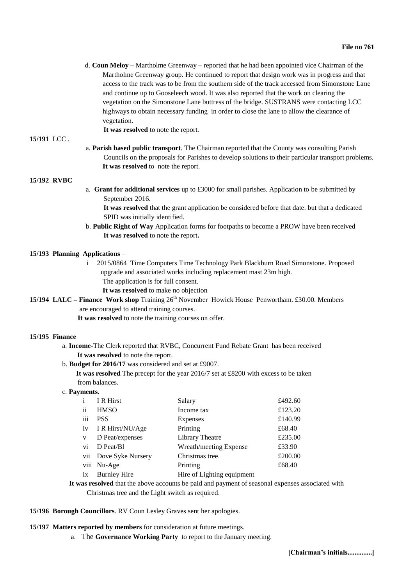d. **Coun Meloy** – Martholme Greenway – reported that he had been appointed vice Chairman of the Martholme Greenway group. He continued to report that design work was in progress and that access to the track was to be from the southern side of the track accessed from Simonstone Lane and continue up to Gooseleech wood. It was also reported that the work on clearing the vegetation on the Simonstone Lane buttress of the bridge. SUSTRANS were contacting LCC highways to obtain necessary funding in order to close the lane to allow the clearance of vegetation.

**It was resolved** to note the report.

#### **15/191** LCC .

a. **Parish based public transport**. The Chairman reported that the County was consulting Parish Councils on the proposals for Parishes to develop solutions to their particular transport problems. **It was resolved** to note the report.

## **15/192 RVBC**

a. **Grant for additional services** up to £3000 for small parishes. Application to be submitted by September 2016.

**It was resolved** that the grant application be considered before that date. but that a dedicated SPID was initially identified.

b. **Public Right of Way** Application forms for footpaths to become a PROW have been received **It was resolved** to note the report**.** 

## **15/193 Planning Applications** –

i 2015/0864 Time Computers Time Technology Park Blackburn Road Simonstone. Proposed upgrade and associated works including replacement mast 23m high. The application is for full consent.

**It was resolved** to make no objection

**15/194 LALC – Finance Work shop** Training 26<sup>th</sup> November Howick House Penwortham. £30.00. Members are encouraged to attend training courses.

 **It was resolved** to note the training courses on offer.

#### **15/195 Finance**

a. **Income**-The Clerk reported that RVBC, Concurrent Fund Rebate Grant has been received  **It was resolved** to note the report.

b. **Budget for 2016/17** was considered and set at £9007.

 **It was resolved** The precept for the year 2016/7 set at £8200 with excess to be taken from balances.

#### c. **Payments.**

| $\mathbf{i}$ | I R Hirst           | Salary                     | £492.60 |
|--------------|---------------------|----------------------------|---------|
| ii           | <b>HMSO</b>         | Income tax                 | £123.20 |
| iii          | <b>PSS</b>          | Expenses                   | £140.99 |
| iv           | I R Hirst/NU/Age    | Printing                   | £68.40  |
| V            | D Peat/expenses     | Library Theatre            | £235.00 |
| vi           | D Peat/Bl           | Wreath/meeting Expense     | £33.90  |
| vii          | Dove Syke Nursery   | Christmas tree.            | £200.00 |
|              | viii Nu-Age         | Printing                   | £68.40  |
| ix           | <b>Burnley Hire</b> | Hire of Lighting equipment |         |

**It was resolved** that the above accounts be paid and payment of seasonal expenses associated with Christmas tree and the Light switch as required.

**15/196 Borough Councillors**. RV Coun Lesley Graves sent her apologies.

#### **15/197 Matters reported by members** for consideration at future meetings.

a. The **Governance Working Party** to report to the January meeting.